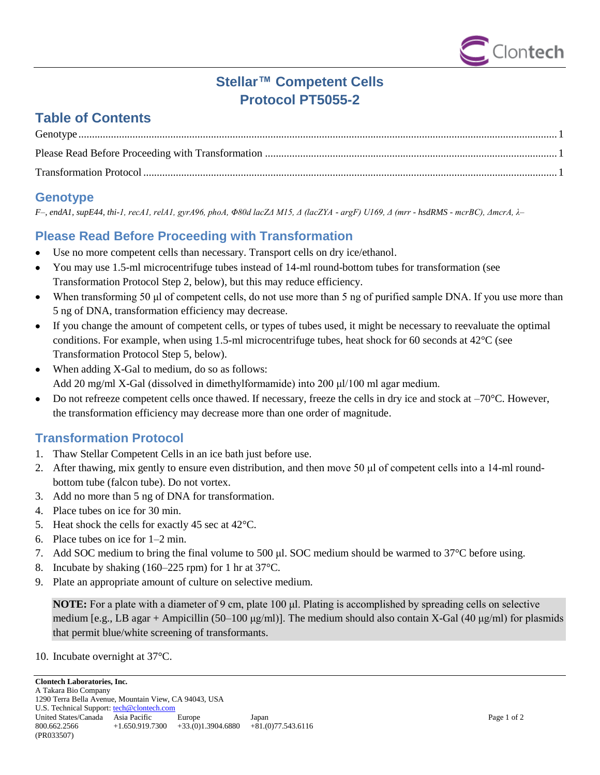

# **Stellar™ Competent Cells Protocol PT5055-2**

# **Table of Contents**

## <span id="page-0-0"></span>**Genotype**

*F–, endA1, supE44, thi-1, recA1, relA1, gyrA96, phoA, Φ80d lacZΔ M15, Δ (lacZYA - argF) U169, Δ (mrr - hsdRMS - mcrBC), ΔmcrA, λ–*

## <span id="page-0-1"></span>**Please Read Before Proceeding with Transformation**

- Use no more competent cells than necessary. Transport cells on dry ice/ethanol.  $\bullet$
- You may use 1.5-ml microcentrifuge tubes instead of 14-ml round-bottom tubes for transformation (see Transformation Protocol Step 2, below), but this may reduce efficiency.
- When transforming 50 μl of competent cells, do not use more than 5 ng of purified sample DNA. If you use more than 5 ng of DNA, transformation efficiency may decrease.
- If you change the amount of competent cells, or types of tubes used, it might be necessary to reevaluate the optimal conditions. For example, when using 1.5-ml microcentrifuge tubes, heat shock for 60 seconds at 42°C (see Transformation Protocol Step 5, below).
- When adding X-Gal to medium, do so as follows:  $\bullet$ Add 20 mg/ml X-Gal (dissolved in dimethylformamide) into 200 μl/100 ml agar medium.
- Do not refreeze competent cells once thawed. If necessary, freeze the cells in dry ice and stock at –70°C. However,  $\bullet$ the transformation efficiency may decrease more than one order of magnitude.

## <span id="page-0-2"></span>**Transformation Protocol**

- 1. Thaw Stellar Competent Cells in an ice bath just before use.
- 2. After thawing, mix gently to ensure even distribution, and then move 50 μl of competent cells into a 14-ml roundbottom tube (falcon tube). Do not vortex.
- 3. Add no more than 5 ng of DNA for transformation.
- 4. Place tubes on ice for 30 min.
- 5. Heat shock the cells for exactly 45 sec at 42°C.
- 6. Place tubes on ice for 1–2 min.
- 7. Add SOC medium to bring the final volume to 500 μl. SOC medium should be warmed to 37°C before using.
- 8. Incubate by shaking (160–225 rpm) for 1 hr at 37°C.
- 9. Plate an appropriate amount of culture on selective medium.

**NOTE:** For a plate with a diameter of 9 cm, plate 100 μl. Plating is accomplished by spreading cells on selective medium [e.g., LB agar + Ampicillin (50–100  $\mu$ g/ml)]. The medium should also contain X-Gal (40  $\mu$ g/ml) for plasmids that permit blue/white screening of transformants.

10. Incubate overnight at 37°C.